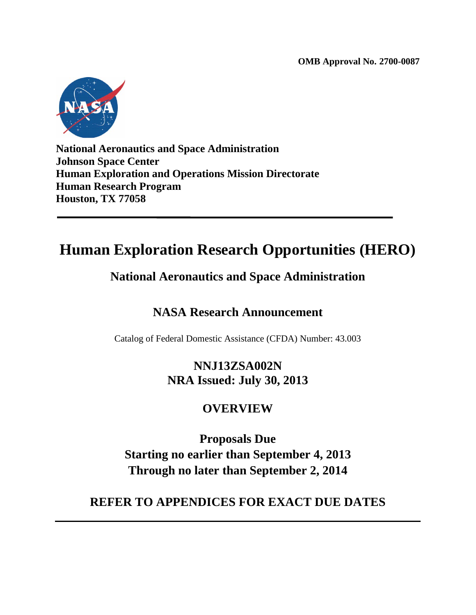**OMB Approval No. 2700-0087**



**National Aeronautics and Space Administration Johnson Space Center Human Exploration and Operations Mission Directorate Human Research Program Houston, TX 77058**

# **Human Exploration Research Opportunities (HERO)**

## **National Aeronautics and Space Administration**

## **NASA Research Announcement**

Catalog of Federal Domestic Assistance (CFDA) Number: 43.003

## **NNJ13ZSA002N NRA Issued: July 30, 2013**

## **OVERVIEW**

**Proposals Due Starting no earlier than September 4, 2013 Through no later than September 2, 2014**

## **REFER TO APPENDICES FOR EXACT DUE DATES**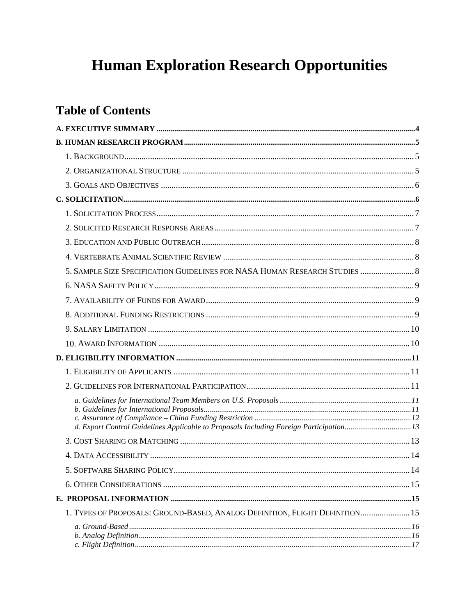# **Human Exploration Research Opportunities**

## **Table of Contents**

| 5. SAMPLE SIZE SPECIFICATION GUIDELINES FOR NASA HUMAN RESEARCH STUDIES  8             |      |
|----------------------------------------------------------------------------------------|------|
|                                                                                        |      |
|                                                                                        |      |
|                                                                                        |      |
|                                                                                        |      |
|                                                                                        |      |
|                                                                                        |      |
|                                                                                        |      |
|                                                                                        |      |
|                                                                                        |      |
| d. Export Control Guidelines Applicable to Proposals Including Foreign Participation13 |      |
|                                                                                        |      |
|                                                                                        |      |
|                                                                                        | . 14 |
|                                                                                        |      |
|                                                                                        |      |
| 1. TYPES OF PROPOSALS: GROUND-BASED, ANALOG DEFINITION, FLIGHT DEFINITION 15           |      |
|                                                                                        |      |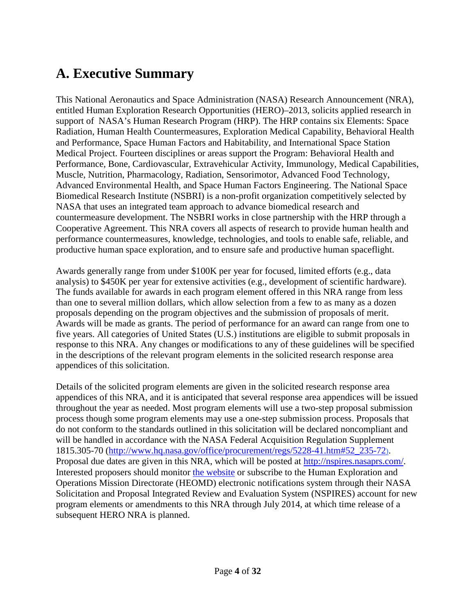# <span id="page-3-0"></span>**A. Executive Summary**

This National Aeronautics and Space Administration (NASA) Research Announcement (NRA), entitled Human Exploration Research Opportunities (HERO)–2013, solicits applied research in support of NASA's Human Research Program (HRP). The HRP contains six Elements: Space Radiation, Human Health Countermeasures, Exploration Medical Capability, Behavioral Health and Performance, Space Human Factors and Habitability, and International Space Station Medical Project. Fourteen disciplines or areas support the Program: Behavioral Health and Performance, Bone, Cardiovascular, Extravehicular Activity, Immunology, Medical Capabilities, Muscle, Nutrition, Pharmacology, Radiation, Sensorimotor, Advanced Food Technology, Advanced Environmental Health, and Space Human Factors Engineering. The National Space Biomedical Research Institute (NSBRI) is a non-profit organization competitively selected by NASA that uses an integrated team approach to advance biomedical research and countermeasure development. The NSBRI works in close partnership with the HRP through a Cooperative Agreement. This NRA covers all aspects of research to provide human health and performance countermeasures, knowledge, technologies, and tools to enable safe, reliable, and productive human space exploration, and to ensure safe and productive human spaceflight.

Awards generally range from under \$100K per year for focused, limited efforts (e.g., data analysis) to \$450K per year for extensive activities (e.g., development of scientific hardware). The funds available for awards in each program element offered in this NRA range from less than one to several million dollars, which allow selection from a few to as many as a dozen proposals depending on the program objectives and the submission of proposals of merit. Awards will be made as grants. The period of performance for an award can range from one to five years. All categories of United States (U.S.) institutions are eligible to submit proposals in response to this NRA. Any changes or modifications to any of these guidelines will be specified in the descriptions of the relevant program elements in the solicited research response area appendices of this solicitation.

Details of the solicited program elements are given in the solicited research response area appendices of this NRA, and it is anticipated that several response area appendices will be issued throughout the year as needed. Most program elements will use a two-step proposal submission process though some program elements may use a one-step submission process. Proposals that do not conform to the standards outlined in this solicitation will be declared noncompliant and will be handled in accordance with the NASA Federal Acquisition Regulation Supplement 1815.305-70 [\(http://www.hq.nasa.gov/office/procurement/regs/5228-41.htm#52\\_235-72\)](http://www.hq.nasa.gov/office/procurement/regs/5228-41.htm#52_235-72). Proposal due dates are given in this NRA, which will be posted at [http://nspires.nasaprs.com/.](http://nspires.nasaprs.com/) Interested proposers should monitor [the](http://nspires.nasaprs.com/) website or subscribe to the Human Exploration and Operations Mission Directorate (HEOMD) electronic notifications system through their NASA Solicitation and Proposal Integrated Review and Evaluation System (NSPIRES) account for new program elements or amendments to this NRA through July 2014, at which time release of a subsequent HERO NRA is planned.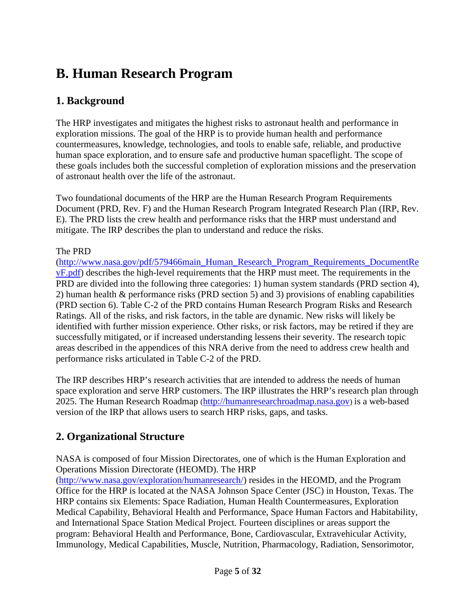# <span id="page-4-0"></span>**B. Human Research Program**

## <span id="page-4-1"></span>**1. Background**

The HRP investigates and mitigates the highest risks to astronaut health and performance in exploration missions. The goal of the HRP is to provide human health and performance countermeasures, knowledge, technologies, and tools to enable safe, reliable, and productive human space exploration, and to ensure safe and productive human spaceflight. The scope of these goals includes both the successful completion of exploration missions and the preservation of astronaut health over the life of the astronaut.

Two foundational documents of the HRP are the Human Research Program Requirements Document (PRD, Rev. F) and the Human Research Program Integrated Research Plan (IRP, Rev. E). The PRD lists the crew health and performance risks that the HRP must understand and mitigate. The IRP describes the plan to understand and reduce the risks.

#### The PRD

[\(http://www.nasa.gov/pdf/579466main\\_Human\\_Research\\_Program\\_Requirements\\_DocumentRe](http://www.nasa.gov/pdf/579466main_Human_Research_Program_Requirements_DocumentRevF.pdf) [vF.pdf\)](http://www.nasa.gov/pdf/579466main_Human_Research_Program_Requirements_DocumentRevF.pdf) describes the high-level requirements that the HRP must meet. The requirements in the PRD are divided into the following three categories: 1) human system standards (PRD section 4), 2) human health & performance risks (PRD section 5) and 3) provisions of enabling capabilities (PRD section 6). Table C-2 of the PRD contains Human Research Program Risks and Research Ratings. All of the risks, and risk factors, in the table are dynamic. New risks will likely be identified with further mission experience. Other risks, or risk factors, may be retired if they are successfully mitigated, or if increased understanding lessens their severity. The research topic areas described in the appendices of this NRA derive from the need to address crew health and performance risks articulated in Table C-2 of the PRD.

The IRP describes HRP's research activities that are intended to address the needs of human space exploration and serve HRP customers. The IRP illustrates the HRP's research plan through 2025. The Human Research Roadmap [\(http://humanresearchroadmap.nasa.gov\)](http://humanresearchroadmap.nasa.gov/) is a web-based version of the IRP that allows users to search HRP risks, gaps, and tasks.

### <span id="page-4-2"></span>**2. Organizational Structure**

NASA is composed of four Mission Directorates, one of which is the Human Exploration and Operations Mission Directorate (HEOMD). The HRP

[\(http://www.nasa.gov/exploration/humanresearch/\)](http://www.nasa.gov/exploration/humanresearch/) resides in the HEOMD, and the Program Office for the HRP is located at the NASA Johnson Space Center (JSC) in Houston, Texas. The HRP contains six Elements: Space Radiation, Human Health Countermeasures, Exploration Medical Capability, Behavioral Health and Performance, Space Human Factors and Habitability, and International Space Station Medical Project. Fourteen disciplines or areas support the program: Behavioral Health and Performance, Bone, Cardiovascular, Extravehicular Activity, Immunology, Medical Capabilities, Muscle, Nutrition, Pharmacology, Radiation, Sensorimotor,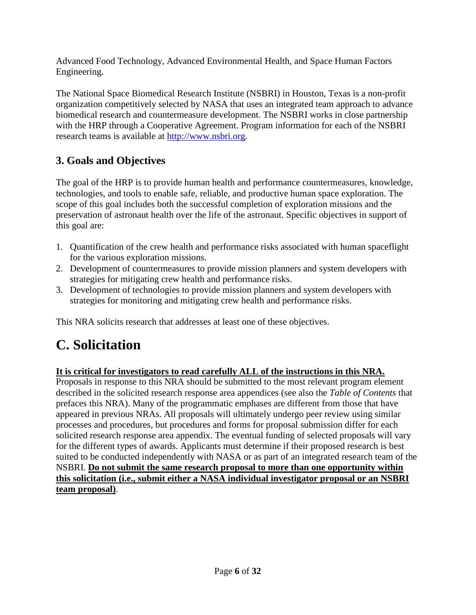Advanced Food Technology, Advanced Environmental Health, and Space Human Factors Engineering.

The National Space Biomedical Research Institute (NSBRI) in Houston, Texas is a non-profit organization competitively selected by NASA that uses an integrated team approach to advance biomedical research and countermeasure development. The NSBRI works in close partnership with the HRP through a Cooperative Agreement. Program information for each of the NSBRI research teams is available at [http://www.nsbri.org.](http://www.nsbri.org/)

## <span id="page-5-0"></span>**3. Goals and Objectives**

The goal of the HRP is to provide human health and performance countermeasures, knowledge, technologies, and tools to enable safe, reliable, and productive human space exploration. The scope of this goal includes both the successful completion of exploration missions and the preservation of astronaut health over the life of the astronaut. Specific objectives in support of this goal are:

- 1. Quantification of the crew health and performance risks associated with human spaceflight for the various exploration missions.
- 2. Development of countermeasures to provide mission planners and system developers with strategies for mitigating crew health and performance risks.
- 3. Development of technologies to provide mission planners and system developers with strategies for monitoring and mitigating crew health and performance risks.

This NRA solicits research that addresses at least one of these objectives.

# <span id="page-5-1"></span>**C. Solicitation**

#### **It is critical for investigators to read carefully ALL of the instructions in this NRA.**

<span id="page-5-2"></span>Proposals in response to this NRA should be submitted to the most relevant program element described in the solicited research response area appendices (see also the *Table of Contents* that prefaces this NRA). Many of the programmatic emphases are different from those that have appeared in previous NRAs. All proposals will ultimately undergo peer review using similar processes and procedures, but procedures and forms for proposal submission differ for each solicited research response area appendix. The eventual funding of selected proposals will vary for the different types of awards. Applicants must determine if their proposed research is best suited to be conducted independently with NASA or as part of an integrated research team of the NSBRI. **Do not submit the same research proposal to more than one opportunity within this solicitation (i.e., submit either a NASA individual investigator proposal or an NSBRI team proposal)**.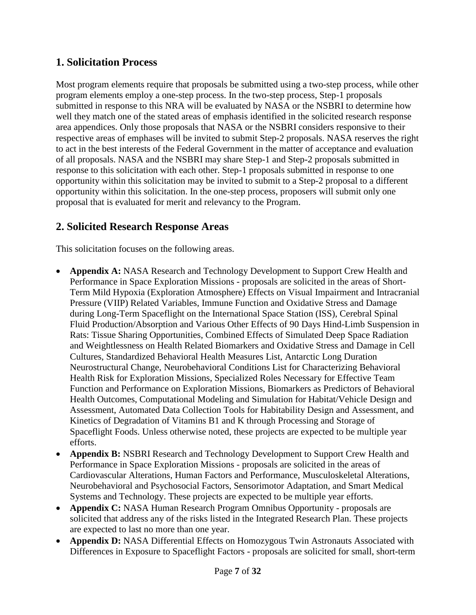### **1. Solicitation Process**

Most program elements require that proposals be submitted using a two-step process, while other program elements employ a one-step process. In the two-step process, Step-1 proposals submitted in response to this NRA will be evaluated by NASA or the NSBRI to determine how well they match one of the stated areas of emphasis identified in the solicited research response area appendices. Only those proposals that NASA or the NSBRI considers responsive to their respective areas of emphases will be invited to submit Step-2 proposals. NASA reserves the right to act in the best interests of the Federal Government in the matter of acceptance and evaluation of all proposals. NASA and the NSBRI may share Step-1 and Step-2 proposals submitted in response to this solicitation with each other. Step-1 proposals submitted in response to one opportunity within this solicitation may be invited to submit to a Step-2 proposal to a different opportunity within this solicitation. In the one-step process, proposers will submit only one proposal that is evaluated for merit and relevancy to the Program.

#### <span id="page-6-0"></span>**2. Solicited Research Response Areas**

This solicitation focuses on the following areas.

- **Appendix A:** NASA Research and Technology Development to Support Crew Health and Performance in Space Exploration Missions - proposals are solicited in the areas of Short-Term Mild Hypoxia (Exploration Atmosphere) Effects on Visual Impairment and Intracranial Pressure (VIIP) Related Variables, Immune Function and Oxidative Stress and Damage during Long-Term Spaceflight on the International Space Station (ISS), Cerebral Spinal Fluid Production/Absorption and Various Other Effects of 90 Days Hind-Limb Suspension in Rats: Tissue Sharing Opportunities, Combined Effects of Simulated Deep Space Radiation and Weightlessness on Health Related Biomarkers and Oxidative Stress and Damage in Cell Cultures, Standardized Behavioral Health Measures List, Antarctic Long Duration Neurostructural Change, Neurobehavioral Conditions List for Characterizing Behavioral Health Risk for Exploration Missions, Specialized Roles Necessary for Effective Team Function and Performance on Exploration Missions, Biomarkers as Predictors of Behavioral Health Outcomes, Computational Modeling and Simulation for Habitat/Vehicle Design and Assessment, Automated Data Collection Tools for Habitability Design and Assessment, and Kinetics of Degradation of Vitamins B1 and K through Processing and Storage of Spaceflight Foods. Unless otherwise noted, these projects are expected to be multiple year efforts.
- **Appendix B:** NSBRI Research and Technology Development to Support Crew Health and Performance in Space Exploration Missions - proposals are solicited in the areas of Cardiovascular Alterations, Human Factors and Performance, Musculoskeletal Alterations, Neurobehavioral and Psychosocial Factors, Sensorimotor Adaptation, and Smart Medical Systems and Technology. These projects are expected to be multiple year efforts.
- **Appendix C:** NASA Human Research Program Omnibus Opportunity proposals are solicited that address any of the risks listed in the Integrated Research Plan. These projects are expected to last no more than one year.
- **Appendix D:** NASA Differential Effects on Homozygous Twin Astronauts Associated with Differences in Exposure to Spaceflight Factors - proposals are solicited for small, short-term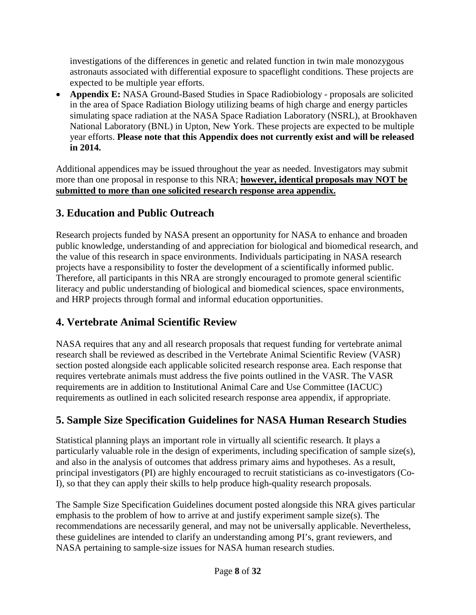investigations of the differences in genetic and related function in twin male monozygous astronauts associated with differential exposure to spaceflight conditions. These projects are expected to be multiple year efforts.

• **Appendix E:** NASA Ground-Based Studies in Space Radiobiology - proposals are solicited in the area of Space Radiation Biology utilizing beams of high charge and energy particles simulating space radiation at the NASA Space Radiation Laboratory (NSRL), at Brookhaven National Laboratory (BNL) in Upton, New York. These projects are expected to be multiple year efforts. **Please note that this Appendix does not currently exist and will be released in 2014.**

Additional appendices may be issued throughout the year as needed. Investigators may submit more than one proposal in response to this NRA; **however, identical proposals may NOT be submitted to more than one solicited research response area appendix.**

## <span id="page-7-0"></span>**3. Education and Public Outreach**

Research projects funded by NASA present an opportunity for NASA to enhance and broaden public knowledge, understanding of and appreciation for biological and biomedical research, and the value of this research in space environments. Individuals participating in NASA research projects have a responsibility to foster the development of a scientifically informed public. Therefore, all participants in this NRA are strongly encouraged to promote general scientific literacy and public understanding of biological and biomedical sciences, space environments, and HRP projects through formal and informal education opportunities.

## <span id="page-7-1"></span>**4. Vertebrate Animal Scientific Review**

NASA requires that any and all research proposals that request funding for vertebrate animal research shall be reviewed as described in the Vertebrate Animal Scientific Review (VASR) section posted alongside each applicable solicited research response area. Each response that requires vertebrate animals must address the five points outlined in the VASR. The VASR requirements are in addition to Institutional Animal Care and Use Committee (IACUC) requirements as outlined in each solicited research response area appendix, if appropriate.

## <span id="page-7-2"></span>**5. Sample Size Specification Guidelines for NASA Human Research Studies**

Statistical planning plays an important role in virtually all scientific research. It plays a particularly valuable role in the design of experiments, including specification of sample size(s), and also in the analysis of outcomes that address primary aims and hypotheses. As a result, principal investigators (PI) are highly encouraged to recruit statisticians as co-investigators (Co-I), so that they can apply their skills to help produce high-quality research proposals.

The Sample Size Specification Guidelines document posted alongside this NRA gives particular emphasis to the problem of how to arrive at and justify experiment sample size(s). The recommendations are necessarily general, and may not be universally applicable. Nevertheless, these guidelines are intended to clarify an understanding among PI's, grant reviewers, and NASA pertaining to sample-size issues for NASA human research studies.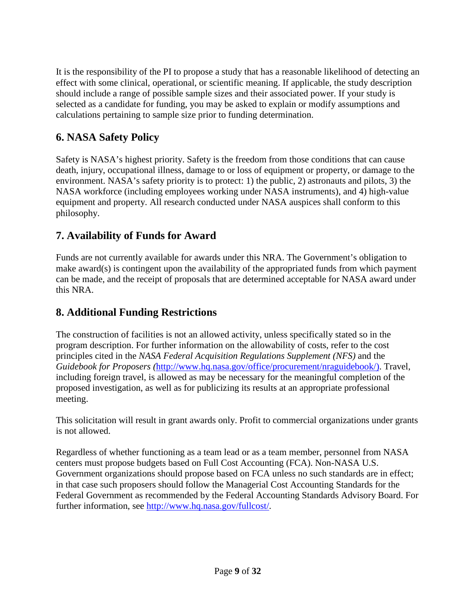It is the responsibility of the PI to propose a study that has a reasonable likelihood of detecting an effect with some clinical, operational, or scientific meaning. If applicable, the study description should include a range of possible sample sizes and their associated power. If your study is selected as a candidate for funding, you may be asked to explain or modify assumptions and calculations pertaining to sample size prior to funding determination.

## <span id="page-8-0"></span>**6. NASA Safety Policy**

Safety is NASA's highest priority. Safety is the freedom from those conditions that can cause death, injury, occupational illness, damage to or loss of equipment or property, or damage to the environment. NASA's safety priority is to protect: 1) the public, 2) astronauts and pilots, 3) the NASA workforce (including employees working under NASA instruments), and 4) high-value equipment and property. All research conducted under NASA auspices shall conform to this philosophy.

## <span id="page-8-1"></span>**7. Availability of Funds for Award**

Funds are not currently available for awards under this NRA. The Government's obligation to make award(s) is contingent upon the availability of the appropriated funds from which payment can be made, and the receipt of proposals that are determined acceptable for NASA award under this NRA.

## <span id="page-8-2"></span>**8. Additional Funding Restrictions**

The construction of facilities is not an allowed activity, unless specifically stated so in the program description. For further information on the allowability of costs, refer to the cost principles cited in the *NASA Federal Acquisition Regulations Supplement (NFS)* and the *Guidebook for Proposers (*[http://www.hq.nasa.gov/office/procurement/nraguidebook/\)](http://www.hq.nasa.gov/office/procurement/nraguidebook/). Travel, including foreign travel, is allowed as may be necessary for the meaningful completion of the proposed investigation, as well as for publicizing its results at an appropriate professional meeting.

This solicitation will result in grant awards only. Profit to commercial organizations under grants is not allowed.

Regardless of whether functioning as a team lead or as a team member, personnel from NASA centers must propose budgets based on Full Cost Accounting (FCA). Non-NASA U.S. Government organizations should propose based on FCA unless no such standards are in effect; in that case such proposers should follow the Managerial Cost Accounting Standards for the Federal Government as recommended by the Federal Accounting Standards Advisory Board. For further information, see [http://www.hq.nasa.gov/fullcost/.](http://www.hq.nasa.gov/fullcost/)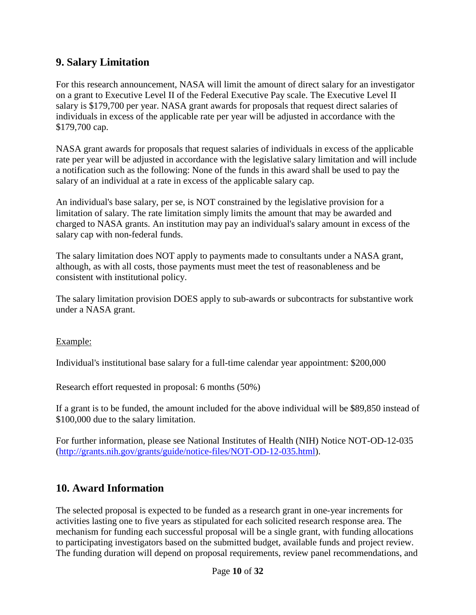### <span id="page-9-0"></span>**9. Salary Limitation**

For this research announcement, NASA will limit the amount of direct salary for an investigator on a grant to Executive Level II of the Federal Executive Pay scale. The Executive Level II salary is \$179,700 per year. NASA grant awards for proposals that request direct salaries of individuals in excess of the applicable rate per year will be adjusted in accordance with the \$179,700 cap.

NASA grant awards for proposals that request salaries of individuals in excess of the applicable rate per year will be adjusted in accordance with the legislative salary limitation and will include a notification such as the following: None of the funds in this award shall be used to pay the salary of an individual at a rate in excess of the applicable salary cap.

An individual's base salary, per se, is NOT constrained by the legislative provision for a limitation of salary. The rate limitation simply limits the amount that may be awarded and charged to NASA grants. An institution may pay an individual's salary amount in excess of the salary cap with non-federal funds.

The salary limitation does NOT apply to payments made to consultants under a NASA grant, although, as with all costs, those payments must meet the test of reasonableness and be consistent with institutional policy.

The salary limitation provision DOES apply to sub-awards or subcontracts for substantive work under a NASA grant.

#### Example:

Individual's institutional base salary for a full-time calendar year appointment: \$200,000

Research effort requested in proposal: 6 months (50%)

If a grant is to be funded, the amount included for the above individual will be \$89,850 instead of \$100,000 due to the salary limitation.

For further information, please see National Institutes of Health (NIH) Notice NOT-OD-12-035 [\(http://grants.nih.gov/grants/guide/notice-files/NOT-OD-12-035.html\)](http://grants.nih.gov/grants/guide/notice-files/NOT-OD-12-035.html).

#### <span id="page-9-1"></span>**10. Award Information**

The selected proposal is expected to be funded as a research grant in one-year increments for activities lasting one to five years as stipulated for each solicited research response area. The mechanism for funding each successful proposal will be a single grant, with funding allocations to participating investigators based on the submitted budget, available funds and project review. The funding duration will depend on proposal requirements, review panel recommendations, and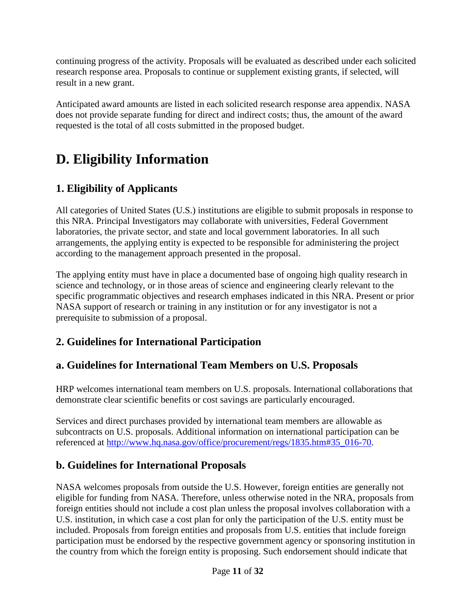continuing progress of the activity. Proposals will be evaluated as described under each solicited research response area. Proposals to continue or supplement existing grants, if selected, will result in a new grant.

Anticipated award amounts are listed in each solicited research response area appendix. NASA does not provide separate funding for direct and indirect costs; thus, the amount of the award requested is the total of all costs submitted in the proposed budget.

# <span id="page-10-0"></span>**D. Eligibility Information**

## <span id="page-10-1"></span>**1. Eligibility of Applicants**

All categories of United States (U.S.) institutions are eligible to submit proposals in response to this NRA. Principal Investigators may collaborate with universities, Federal Government laboratories, the private sector, and state and local government laboratories. In all such arrangements, the applying entity is expected to be responsible for administering the project according to the management approach presented in the proposal.

The applying entity must have in place a documented base of ongoing high quality research in science and technology, or in those areas of science and engineering clearly relevant to the specific programmatic objectives and research emphases indicated in this NRA. Present or prior NASA support of research or training in any institution or for any investigator is not a prerequisite to submission of a proposal.

## <span id="page-10-2"></span>**2. Guidelines for International Participation**

## <span id="page-10-3"></span>**a. Guidelines for International Team Members on U.S. Proposals**

HRP welcomes international team members on U.S. proposals. International collaborations that demonstrate clear scientific benefits or cost savings are particularly encouraged.

Services and direct purchases provided by international team members are allowable as subcontracts on U.S. proposals. Additional information on international participation can be referenced at [http://www.hq.nasa.gov/office/procurement/regs/1835.htm#35\\_016-70.](http://www.hq.nasa.gov/office/procurement/regs/1835.htm#35_016-70)

## <span id="page-10-4"></span>**b. Guidelines for International Proposals**

NASA welcomes proposals from outside the U.S. However, foreign entities are generally not eligible for funding from NASA. Therefore, unless otherwise noted in the NRA, proposals from foreign entities should not include a cost plan unless the proposal involves collaboration with a U.S. institution, in which case a cost plan for only the participation of the U.S. entity must be included. Proposals from foreign entities and proposals from U.S. entities that include foreign participation must be endorsed by the respective government agency or sponsoring institution in the country from which the foreign entity is proposing. Such endorsement should indicate that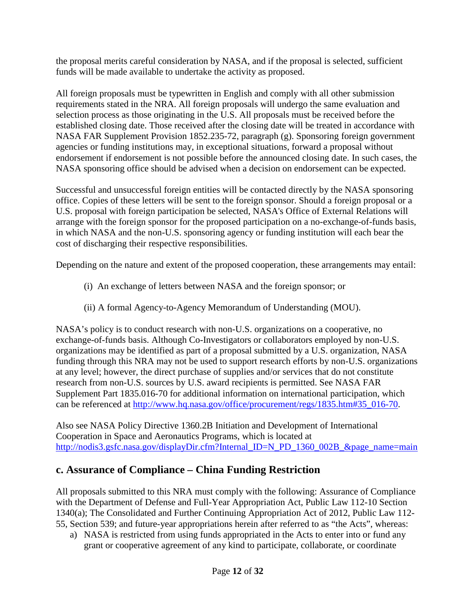the proposal merits careful consideration by NASA, and if the proposal is selected, sufficient funds will be made available to undertake the activity as proposed.

All foreign proposals must be typewritten in English and comply with all other submission requirements stated in the NRA. All foreign proposals will undergo the same evaluation and selection process as those originating in the U.S. All proposals must be received before the established closing date. Those received after the closing date will be treated in accordance with NASA FAR Supplement Provision 1852.235-72, paragraph (g). Sponsoring foreign government agencies or funding institutions may, in exceptional situations, forward a proposal without endorsement if endorsement is not possible before the announced closing date. In such cases, the NASA sponsoring office should be advised when a decision on endorsement can be expected.

Successful and unsuccessful foreign entities will be contacted directly by the NASA sponsoring office. Copies of these letters will be sent to the foreign sponsor. Should a foreign proposal or a U.S. proposal with foreign participation be selected, NASA's Office of External Relations will arrange with the foreign sponsor for the proposed participation on a no-exchange-of-funds basis, in which NASA and the non-U.S. sponsoring agency or funding institution will each bear the cost of discharging their respective responsibilities.

Depending on the nature and extent of the proposed cooperation, these arrangements may entail:

- (i) An exchange of letters between NASA and the foreign sponsor; or
- (ii) A formal Agency-to-Agency Memorandum of Understanding (MOU).

NASA's policy is to conduct research with non-U.S. organizations on a cooperative, no exchange-of-funds basis. Although Co-Investigators or collaborators employed by non-U.S. organizations may be identified as part of a proposal submitted by a U.S. organization, NASA funding through this NRA may not be used to support research efforts by non-U.S. organizations at any level; however, the direct purchase of supplies and/or services that do not constitute research from non-U.S. sources by U.S. award recipients is permitted. See NASA FAR Supplement Part 1835.016-70 for additional information on international participation, which can be referenced at [http://www.hq.nasa.gov/office/procurement/regs/1835.htm#35\\_016-70.](http://www.hq.nasa.gov/office/procurement/regs/1835.htm#35_016-70)

Also see NASA Policy Directive 1360.2B Initiation and Development of International Cooperation in Space and Aeronautics Programs, which is located at [http://nodis3.gsfc.nasa.gov/displayDir.cfm?Internal\\_ID=N\\_PD\\_1360\\_002B\\_&page\\_name=main](http://nodis3.gsfc.nasa.gov/displayDir.cfm?Internal_ID=N_PD_1360_002B_&page_name=main)

## <span id="page-11-0"></span>**c. Assurance of Compliance – China Funding Restriction**

All proposals submitted to this NRA must comply with the following: Assurance of Compliance with the Department of Defense and Full-Year Appropriation Act, Public Law 112-10 Section 1340(a); The Consolidated and Further Continuing Appropriation Act of 2012, Public Law 112- 55, Section 539; and future-year appropriations herein after referred to as "the Acts", whereas:

a) NASA is restricted from using funds appropriated in the Acts to enter into or fund any grant or cooperative agreement of any kind to participate, collaborate, or coordinate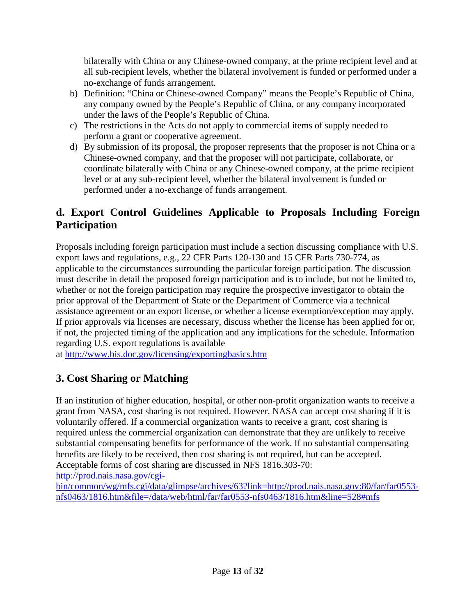bilaterally with China or any Chinese-owned company, at the prime recipient level and at all sub-recipient levels, whether the bilateral involvement is funded or performed under a no-exchange of funds arrangement.

- b) Definition: "China or Chinese-owned Company" means the People's Republic of China, any company owned by the People's Republic of China, or any company incorporated under the laws of the People's Republic of China.
- c) The restrictions in the Acts do not apply to commercial items of supply needed to perform a grant or cooperative agreement.
- d) By submission of its proposal, the proposer represents that the proposer is not China or a Chinese-owned company, and that the proposer will not participate, collaborate, or coordinate bilaterally with China or any Chinese-owned company, at the prime recipient level or at any sub-recipient level, whether the bilateral involvement is funded or performed under a no-exchange of funds arrangement.

## <span id="page-12-0"></span>**d. Export Control Guidelines Applicable to Proposals Including Foreign Participation**

Proposals including foreign participation must include a section discussing compliance with U.S. export laws and regulations, e.g., 22 CFR Parts 120-130 and 15 CFR Parts 730-774, as applicable to the circumstances surrounding the particular foreign participation. The discussion must describe in detail the proposed foreign participation and is to include, but not be limited to, whether or not the foreign participation may require the prospective investigator to obtain the prior approval of the Department of State or the Department of Commerce via a technical assistance agreement or an export license, or whether a license exemption/exception may apply. If prior approvals via licenses are necessary, discuss whether the license has been applied for or, if not, the projected timing of the application and any implications for the schedule. Information regarding U.S. export regulations is available

at <http://www.bis.doc.gov/licensing/exportingbasics.htm>

## <span id="page-12-1"></span>**3. Cost Sharing or Matching**

If an institution of higher education, hospital, or other non-profit organization wants to receive a grant from NASA, cost sharing is not required. However, NASA can accept cost sharing if it is voluntarily offered. If a commercial organization wants to receive a grant, cost sharing is required unless the commercial organization can demonstrate that they are unlikely to receive substantial compensating benefits for performance of the work. If no substantial compensating benefits are likely to be received, then cost sharing is not required, but can be accepted. Acceptable forms of cost sharing are discussed in NFS 1816.303-70:

[http://prod.nais.nasa.gov/cgi-](http://prod.nais.nasa.gov/cgi-bin/common/wg/mfs.cgi/data/glimpse/archives/63?link=http://prod.nais.nasa.gov:80/far/far0553-nfs0463/1816.htm&file=/data/web/html/far/far0553-nfs0463/1816.htm&line=528#mfs)

[bin/common/wg/mfs.cgi/data/glimpse/archives/63?link=http://prod.nais.nasa.gov:80/far/far0553](http://prod.nais.nasa.gov/cgi-bin/common/wg/mfs.cgi/data/glimpse/archives/63?link=http://prod.nais.nasa.gov:80/far/far0553-nfs0463/1816.htm&file=/data/web/html/far/far0553-nfs0463/1816.htm&line=528#mfs) [nfs0463/1816.htm&file=/data/web/html/far/far0553-nfs0463/1816.htm&line=528#mfs](http://prod.nais.nasa.gov/cgi-bin/common/wg/mfs.cgi/data/glimpse/archives/63?link=http://prod.nais.nasa.gov:80/far/far0553-nfs0463/1816.htm&file=/data/web/html/far/far0553-nfs0463/1816.htm&line=528#mfs)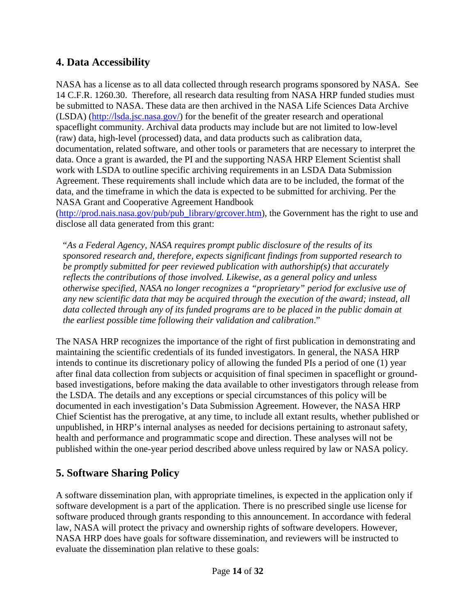## <span id="page-13-0"></span>**4. Data Accessibility**

NASA has a license as to all data collected through research programs sponsored by NASA. See 14 C.F.R. 1260.30. Therefore, all research data resulting from NASA HRP funded studies must be submitted to NASA. These data are then archived in the NASA Life Sciences Data Archive (LSDA) [\(http://lsda.jsc.nasa.gov/\)](http://lsda.jsc.nasa.gov/) for the benefit of the greater research and operational spaceflight community. Archival data products may include but are not limited to low-level (raw) data, high-level (processed) data, and data products such as calibration data, documentation, related software, and other tools or parameters that are necessary to interpret the data. Once a grant is awarded, the PI and the supporting NASA HRP Element Scientist shall work with LSDA to outline specific archiving requirements in an LSDA Data Submission Agreement. These requirements shall include which data are to be included, the format of the data, and the timeframe in which the data is expected to be submitted for archiving. Per the NASA Grant and Cooperative Agreement Handbook

[\(http://prod.nais.nasa.gov/pub/pub\\_library/grcover.htm\)](http://prod.nais.nasa.gov/pub/pub_library/grcover.htm), the Government has the right to use and disclose all data generated from this grant:

"*As a Federal Agency, NASA requires prompt public disclosure of the results of its sponsored research and, therefore, expects significant findings from supported research to be promptly submitted for peer reviewed publication with authorship(s) that accurately reflects the contributions of those involved. Likewise, as a general policy and unless otherwise specified, NASA no longer recognizes a "proprietary" period for exclusive use of any new scientific data that may be acquired through the execution of the award; instead, all data collected through any of its funded programs are to be placed in the public domain at the earliest possible time following their validation and calibration*."

The NASA HRP recognizes the importance of the right of first publication in demonstrating and maintaining the scientific credentials of its funded investigators. In general, the NASA HRP intends to continue its discretionary policy of allowing the funded PIs a period of one (1) year after final data collection from subjects or acquisition of final specimen in spaceflight or groundbased investigations, before making the data available to other investigators through release from the LSDA. The details and any exceptions or special circumstances of this policy will be documented in each investigation's Data Submission Agreement. However, the NASA HRP Chief Scientist has the prerogative, at any time, to include all extant results, whether published or unpublished, in HRP's internal analyses as needed for decisions pertaining to astronaut safety, health and performance and programmatic scope and direction. These analyses will not be published within the one-year period described above unless required by law or NASA policy.

## <span id="page-13-1"></span>**5. Software Sharing Policy**

A software dissemination plan, with appropriate timelines, is expected in the application only if software development is a part of the application. There is no prescribed single use license for software produced through grants responding to this announcement. In accordance with federal law, NASA will protect the privacy and ownership rights of software developers. However, NASA HRP does have goals for software dissemination, and reviewers will be instructed to evaluate the dissemination plan relative to these goals: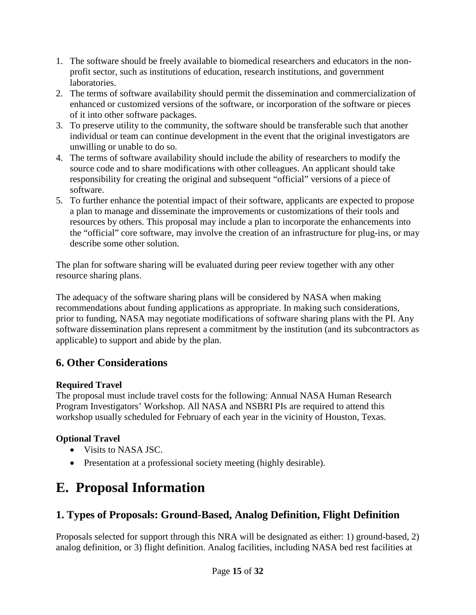- 1. The software should be freely available to biomedical researchers and educators in the nonprofit sector, such as institutions of education, research institutions, and government laboratories.
- 2. The terms of software availability should permit the dissemination and commercialization of enhanced or customized versions of the software, or incorporation of the software or pieces of it into other software packages.
- 3. To preserve utility to the community, the software should be transferable such that another individual or team can continue development in the event that the original investigators are unwilling or unable to do so.
- 4. The terms of software availability should include the ability of researchers to modify the source code and to share modifications with other colleagues. An applicant should take responsibility for creating the original and subsequent "official" versions of a piece of software.
- 5. To further enhance the potential impact of their software, applicants are expected to propose a plan to manage and disseminate the improvements or customizations of their tools and resources by others. This proposal may include a plan to incorporate the enhancements into the "official" core software, may involve the creation of an infrastructure for plug-ins, or may describe some other solution.

The plan for software sharing will be evaluated during peer review together with any other resource sharing plans.

The adequacy of the software sharing plans will be considered by NASA when making recommendations about funding applications as appropriate. In making such considerations, prior to funding, NASA may negotiate modifications of software sharing plans with the PI. Any software dissemination plans represent a commitment by the institution (and its subcontractors as applicable) to support and abide by the plan.

## <span id="page-14-0"></span>**6. Other Considerations**

#### **Required Travel**

The proposal must include travel costs for the following: Annual NASA Human Research Program Investigators' Workshop. All NASA and NSBRI PIs are required to attend this workshop usually scheduled for February of each year in the vicinity of Houston, Texas.

#### **Optional Travel**

- Visits to NASA JSC.
- Presentation at a professional society meeting (highly desirable).

# <span id="page-14-1"></span>**E. Proposal Information**

## <span id="page-14-2"></span>**1. Types of Proposals: Ground-Based, Analog Definition, Flight Definition**

Proposals selected for support through this NRA will be designated as either: 1) ground-based, 2) analog definition, or 3) flight definition. Analog facilities, including NASA bed rest facilities at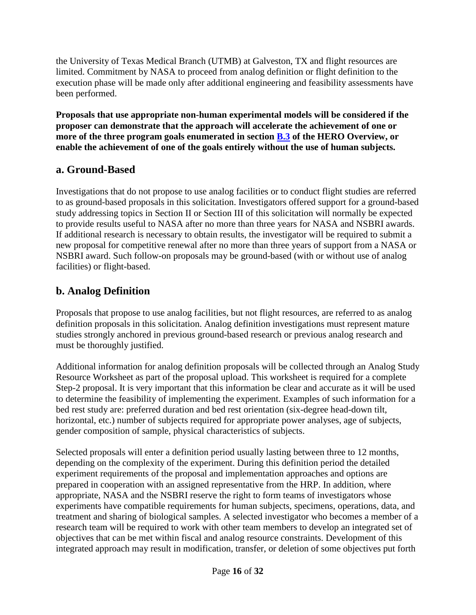the University of Texas Medical Branch (UTMB) at Galveston, TX and flight resources are limited. Commitment by NASA to proceed from analog definition or flight definition to the execution phase will be made only after additional engineering and feasibility assessments have been performed.

**Proposals that use appropriate non-human experimental models will be considered if the proposer can demonstrate that the approach will accelerate the achievement of one or more of the three program goals enumerated in section [B.3](#page-5-0) of the HERO Overview, or enable the achievement of one of the goals entirely without the use of human subjects.**

### <span id="page-15-0"></span>**a. Ground-Based**

Investigations that do not propose to use analog facilities or to conduct flight studies are referred to as ground-based proposals in this solicitation. Investigators offered support for a ground-based study addressing topics in Section II or Section III of this solicitation will normally be expected to provide results useful to NASA after no more than three years for NASA and NSBRI awards. If additional research is necessary to obtain results, the investigator will be required to submit a new proposal for competitive renewal after no more than three years of support from a NASA or NSBRI award. Such follow-on proposals may be ground-based (with or without use of analog facilities) or flight-based.

## <span id="page-15-1"></span>**b. Analog Definition**

Proposals that propose to use analog facilities, but not flight resources, are referred to as analog definition proposals in this solicitation. Analog definition investigations must represent mature studies strongly anchored in previous ground-based research or previous analog research and must be thoroughly justified.

Additional information for analog definition proposals will be collected through an Analog Study Resource Worksheet as part of the proposal upload. This worksheet is required for a complete Step-2 proposal. It is very important that this information be clear and accurate as it will be used to determine the feasibility of implementing the experiment. Examples of such information for a bed rest study are: preferred duration and bed rest orientation (six-degree head-down tilt, horizontal, etc.) number of subjects required for appropriate power analyses, age of subjects, gender composition of sample, physical characteristics of subjects.

Selected proposals will enter a definition period usually lasting between three to 12 months, depending on the complexity of the experiment. During this definition period the detailed experiment requirements of the proposal and implementation approaches and options are prepared in cooperation with an assigned representative from the HRP. In addition, where appropriate, NASA and the NSBRI reserve the right to form teams of investigators whose experiments have compatible requirements for human subjects, specimens, operations, data, and treatment and sharing of biological samples. A selected investigator who becomes a member of a research team will be required to work with other team members to develop an integrated set of objectives that can be met within fiscal and analog resource constraints. Development of this integrated approach may result in modification, transfer, or deletion of some objectives put forth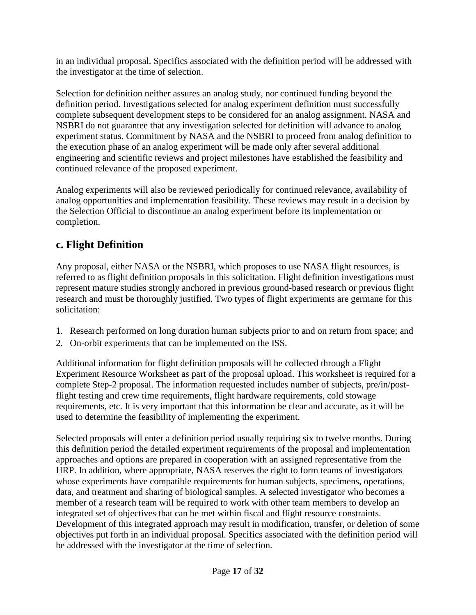in an individual proposal. Specifics associated with the definition period will be addressed with the investigator at the time of selection.

Selection for definition neither assures an analog study, nor continued funding beyond the definition period. Investigations selected for analog experiment definition must successfully complete subsequent development steps to be considered for an analog assignment. NASA and NSBRI do not guarantee that any investigation selected for definition will advance to analog experiment status. Commitment by NASA and the NSBRI to proceed from analog definition to the execution phase of an analog experiment will be made only after several additional engineering and scientific reviews and project milestones have established the feasibility and continued relevance of the proposed experiment.

Analog experiments will also be reviewed periodically for continued relevance, availability of analog opportunities and implementation feasibility. These reviews may result in a decision by the Selection Official to discontinue an analog experiment before its implementation or completion.

## <span id="page-16-0"></span>**c. Flight Definition**

Any proposal, either NASA or the NSBRI, which proposes to use NASA flight resources, is referred to as flight definition proposals in this solicitation. Flight definition investigations must represent mature studies strongly anchored in previous ground-based research or previous flight research and must be thoroughly justified. Two types of flight experiments are germane for this solicitation:

- 1. Research performed on long duration human subjects prior to and on return from space; and
- 2. On-orbit experiments that can be implemented on the ISS.

Additional information for flight definition proposals will be collected through a Flight Experiment Resource Worksheet as part of the proposal upload. This worksheet is required for a complete Step-2 proposal. The information requested includes number of subjects, pre/in/postflight testing and crew time requirements, flight hardware requirements, cold stowage requirements, etc. It is very important that this information be clear and accurate, as it will be used to determine the feasibility of implementing the experiment.

Selected proposals will enter a definition period usually requiring six to twelve months. During this definition period the detailed experiment requirements of the proposal and implementation approaches and options are prepared in cooperation with an assigned representative from the HRP. In addition, where appropriate, NASA reserves the right to form teams of investigators whose experiments have compatible requirements for human subjects, specimens, operations, data, and treatment and sharing of biological samples. A selected investigator who becomes a member of a research team will be required to work with other team members to develop an integrated set of objectives that can be met within fiscal and flight resource constraints. Development of this integrated approach may result in modification, transfer, or deletion of some objectives put forth in an individual proposal. Specifics associated with the definition period will be addressed with the investigator at the time of selection.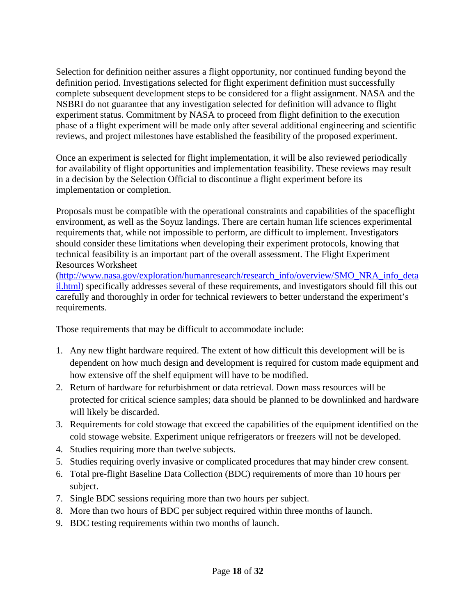Selection for definition neither assures a flight opportunity, nor continued funding beyond the definition period. Investigations selected for flight experiment definition must successfully complete subsequent development steps to be considered for a flight assignment. NASA and the NSBRI do not guarantee that any investigation selected for definition will advance to flight experiment status. Commitment by NASA to proceed from flight definition to the execution phase of a flight experiment will be made only after several additional engineering and scientific reviews, and project milestones have established the feasibility of the proposed experiment.

Once an experiment is selected for flight implementation, it will be also reviewed periodically for availability of flight opportunities and implementation feasibility. These reviews may result in a decision by the Selection Official to discontinue a flight experiment before its implementation or completion.

Proposals must be compatible with the operational constraints and capabilities of the spaceflight environment, as well as the Soyuz landings. There are certain human life sciences experimental requirements that, while not impossible to perform, are difficult to implement. Investigators should consider these limitations when developing their experiment protocols, knowing that technical feasibility is an important part of the overall assessment. The Flight Experiment Resources Worksheet

[\(http://www.nasa.gov/exploration/humanresearch/research\\_info/overview/SMO\\_NRA\\_info\\_deta](http://www.nasa.gov/exploration/humanresearch/research_info/overview/SMO_NRA_info_detail.html) [il.html\)](http://www.nasa.gov/exploration/humanresearch/research_info/overview/SMO_NRA_info_detail.html) specifically addresses several of these requirements, and investigators should fill this out carefully and thoroughly in order for technical reviewers to better understand the experiment's requirements.

Those requirements that may be difficult to accommodate include:

- 1. Any new flight hardware required. The extent of how difficult this development will be is dependent on how much design and development is required for custom made equipment and how extensive off the shelf equipment will have to be modified.
- 2. Return of hardware for refurbishment or data retrieval. Down mass resources will be protected for critical science samples; data should be planned to be downlinked and hardware will likely be discarded.
- 3. Requirements for cold stowage that exceed the capabilities of the equipment identified on the cold stowage website. Experiment unique refrigerators or freezers will not be developed.
- 4. Studies requiring more than twelve subjects.
- 5. Studies requiring overly invasive or complicated procedures that may hinder crew consent.
- 6. Total pre-flight Baseline Data Collection (BDC) requirements of more than 10 hours per subject.
- 7. Single BDC sessions requiring more than two hours per subject.
- 8. More than two hours of BDC per subject required within three months of launch.
- 9. BDC testing requirements within two months of launch.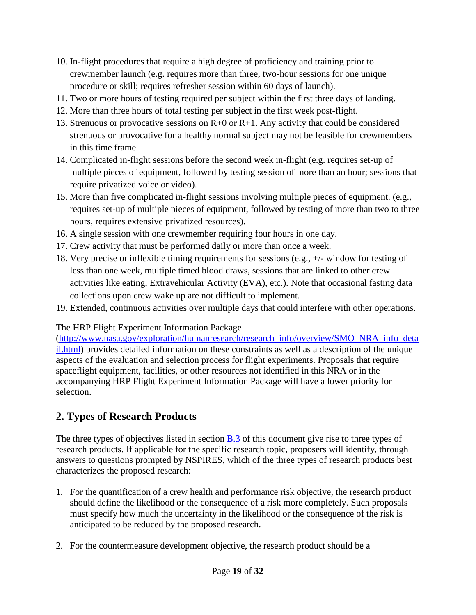- 10. In-flight procedures that require a high degree of proficiency and training prior to crewmember launch (e.g. requires more than three, two-hour sessions for one unique procedure or skill; requires refresher session within 60 days of launch).
- 11. Two or more hours of testing required per subject within the first three days of landing.
- 12. More than three hours of total testing per subject in the first week post-flight.
- 13. Strenuous or provocative sessions on R+0 or R+1. Any activity that could be considered strenuous or provocative for a healthy normal subject may not be feasible for crewmembers in this time frame.
- 14. Complicated in-flight sessions before the second week in-flight (e.g. requires set-up of multiple pieces of equipment, followed by testing session of more than an hour; sessions that require privatized voice or video).
- 15. More than five complicated in-flight sessions involving multiple pieces of equipment. (e.g., requires set-up of multiple pieces of equipment, followed by testing of more than two to three hours, requires extensive privatized resources).
- 16. A single session with one crewmember requiring four hours in one day.
- 17. Crew activity that must be performed daily or more than once a week.
- 18. Very precise or inflexible timing requirements for sessions (e.g., +/- window for testing of less than one week, multiple timed blood draws, sessions that are linked to other crew activities like eating, Extravehicular Activity (EVA), etc.). Note that occasional fasting data collections upon crew wake up are not difficult to implement.
- 19. Extended, continuous activities over multiple days that could interfere with other operations.

The HRP Flight Experiment Information Package

[\(http://www.nasa.gov/exploration/humanresearch/research\\_info/overview/SMO\\_NRA\\_info\\_deta](http://www.nasa.gov/exploration/humanresearch/research_info/overview/SMO_NRA_info_detail.html) [il.html\)](http://www.nasa.gov/exploration/humanresearch/research_info/overview/SMO_NRA_info_detail.html) provides detailed information on these constraints as well as a description of the unique aspects of the evaluation and selection process for flight experiments. Proposals that require spaceflight equipment, facilities, or other resources not identified in this NRA or in the accompanying HRP Flight Experiment Information Package will have a lower priority for selection.

## <span id="page-18-0"></span>**2. Types of Research Products**

The three types of objectives listed in section **B**.3 of this document give rise to three types of research products. If applicable for the specific research topic, proposers will identify, through answers to questions prompted by NSPIRES, which of the three types of research products best characterizes the proposed research:

- 1. For the quantification of a crew health and performance risk objective, the research product should define the likelihood or the consequence of a risk more completely. Such proposals must specify how much the uncertainty in the likelihood or the consequence of the risk is anticipated to be reduced by the proposed research.
- 2. For the countermeasure development objective, the research product should be a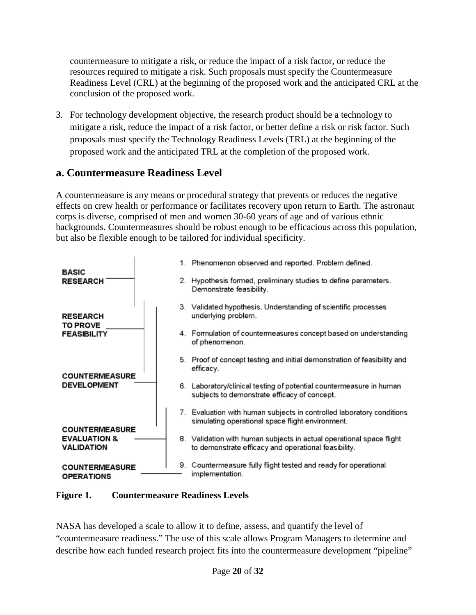countermeasure to mitigate a risk, or reduce the impact of a risk factor, or reduce the resources required to mitigate a risk. Such proposals must specify the Countermeasure Readiness Level (CRL) at the beginning of the proposed work and the anticipated CRL at the conclusion of the proposed work.

3. For technology development objective, the research product should be a technology to mitigate a risk, reduce the impact of a risk factor, or better define a risk or risk factor. Such proposals must specify the Technology Readiness Levels (TRL) at the beginning of the proposed work and the anticipated TRL at the completion of the proposed work.

### <span id="page-19-0"></span>**a. Countermeasure Readiness Level**

A countermeasure is any means or procedural strategy that prevents or reduces the negative effects on crew health or performance or facilitates recovery upon return to Earth. The astronaut corps is diverse, comprised of men and women 30-60 years of age and of various ethnic backgrounds. Countermeasures should be robust enough to be efficacious across this population, but also be flexible enough to be tailored for individual specificity.



#### **Figure 1. Countermeasure Readiness Levels**

NASA has developed a scale to allow it to define, assess, and quantify the level of "countermeasure readiness." The use of this scale allows Program Managers to determine and describe how each funded research project fits into the countermeasure development "pipeline"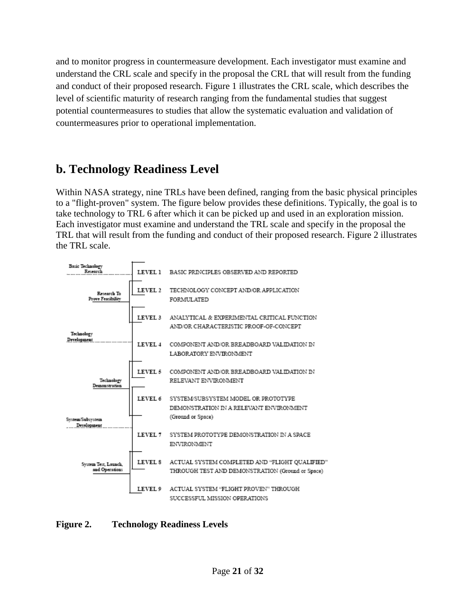and to monitor progress in countermeasure development. Each investigator must examine and understand the CRL scale and specify in the proposal the CRL that will result from the funding and conduct of their proposed research. Figure 1 illustrates the CRL scale, which describes the level of scientific maturity of research ranging from the fundamental studies that suggest potential countermeasures to studies that allow the systematic evaluation and validation of countermeasures prior to operational implementation.

## <span id="page-20-0"></span>**b. Technology Readiness Level**

Within NASA strategy, nine TRLs have been defined, ranging from the basic physical principles to a "flight-proven" system. The figure below provides these definitions. Typically, the goal is to take technology to TRL 6 after which it can be picked up and used in an exploration mission. Each investigator must examine and understand the TRL scale and specify in the proposal the TRL that will result from the funding and conduct of their proposed research. Figure 2 illustrates the TRL scale.



#### **Figure 2. Technology Readiness Levels**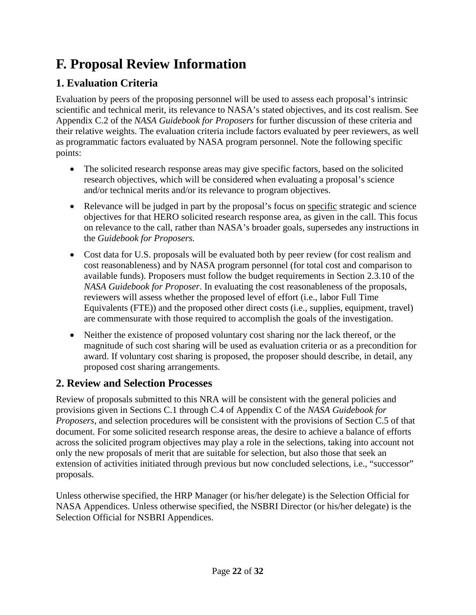# <span id="page-21-0"></span>**F. Proposal Review Information**

## <span id="page-21-1"></span>**1. Evaluation Criteria**

Evaluation by peers of the proposing personnel will be used to assess each proposal's intrinsic scientific and technical merit, its relevance to NASA's stated objectives, and its cost realism. See Appendix C.2 of the *NASA Guidebook for Proposers* for further discussion of these criteria and their relative weights. The evaluation criteria include factors evaluated by peer reviewers, as well as programmatic factors evaluated by NASA program personnel. Note the following specific points:

- The solicited research response areas may give specific factors, based on the solicited research objectives, which will be considered when evaluating a proposal's science and/or technical merits and/or its relevance to program objectives.
- Relevance will be judged in part by the proposal's focus on specific strategic and science objectives for that HERO solicited research response area, as given in the call. This focus on relevance to the call, rather than NASA's broader goals, supersedes any instructions in the *Guidebook for Proposers.*
- Cost data for U.S. proposals will be evaluated both by peer review (for cost realism and cost reasonableness) and by NASA program personnel (for total cost and comparison to available funds). Proposers must follow the budget requirements in Section 2.3.10 of the *NASA Guidebook for Proposer*. In evaluating the cost reasonableness of the proposals, reviewers will assess whether the proposed level of effort (i.e., labor Full Time Equivalents (FTE)) and the proposed other direct costs (i.e., supplies, equipment, travel) are commensurate with those required to accomplish the goals of the investigation.
- Neither the existence of proposed voluntary cost sharing nor the lack thereof, or the magnitude of such cost sharing will be used as evaluation criteria or as a precondition for award. If voluntary cost sharing is proposed, the proposer should describe, in detail, any proposed cost sharing arrangements.

## <span id="page-21-2"></span>**2. Review and Selection Processes**

Review of proposals submitted to this NRA will be consistent with the general policies and provisions given in Sections C.1 through C.4 of Appendix C of the *NASA Guidebook for Proposers*, and selection procedures will be consistent with the provisions of Section C.5 of that document. For some solicited research response areas, the desire to achieve a balance of efforts across the solicited program objectives may play a role in the selections, taking into account not only the new proposals of merit that are suitable for selection, but also those that seek an extension of activities initiated through previous but now concluded selections, i.e., "successor" proposals.

Unless otherwise specified, the HRP Manager (or his/her delegate) is the Selection Official for NASA Appendices. Unless otherwise specified, the NSBRI Director (or his/her delegate) is the Selection Official for NSBRI Appendices.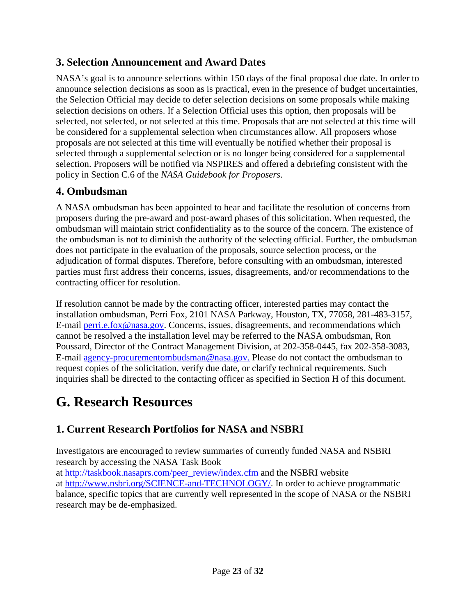## <span id="page-22-0"></span>**3. Selection Announcement and Award Dates**

NASA's goal is to announce selections within 150 days of the final proposal due date. In order to announce selection decisions as soon as is practical, even in the presence of budget uncertainties, the Selection Official may decide to defer selection decisions on some proposals while making selection decisions on others. If a Selection Official uses this option, then proposals will be selected, not selected, or not selected at this time. Proposals that are not selected at this time will be considered for a supplemental selection when circumstances allow. All proposers whose proposals are not selected at this time will eventually be notified whether their proposal is selected through a supplemental selection or is no longer being considered for a supplemental selection. Proposers will be notified via NSPIRES and offered a debriefing consistent with the policy in Section C.6 of the *NASA Guidebook for Proposers*.

## <span id="page-22-1"></span>**4. Ombudsman**

A NASA ombudsman has been appointed to hear and facilitate the resolution of concerns from proposers during the pre-award and post-award phases of this solicitation. When requested, the ombudsman will maintain strict confidentiality as to the source of the concern. The existence of the ombudsman is not to diminish the authority of the selecting official. Further, the ombudsman does not participate in the evaluation of the proposals, source selection process, or the adjudication of formal disputes. Therefore, before consulting with an ombudsman, interested parties must first address their concerns, issues, disagreements, and/or recommendations to the contracting officer for resolution.

If resolution cannot be made by the contracting officer, interested parties may contact the installation ombudsman, Perri Fox, 2101 NASA Parkway, Houston, TX, 77058, 281-483-3157, E-mail [perri.e.fox@nasa.gov.](mailto:perri.e.fox@nasa.gov) Concerns, issues, disagreements, and recommendations which cannot be resolved a the installation level may be referred to the NASA ombudsman, Ron Poussard, Director of the Contract Management Division, at 202-358-0445, fax 202-358-3083, E-mail [agency-procurementombudsman@nasa.gov.](mailto:agency-procurementombudsman@nasa.gov) Please do not contact the ombudsman to request copies of the solicitation, verify due date, or clarify technical requirements. Such inquiries shall be directed to the contacting officer as specified in Section H of this document.

# <span id="page-22-2"></span>**G. Research Resources**

## <span id="page-22-3"></span>**1. Current Research Portfolios for NASA and NSBRI**

Investigators are encouraged to review summaries of currently funded NASA and NSBRI research by accessing the NASA Task Book

<span id="page-22-4"></span>at [http://taskbook.nasaprs.com/peer\\_review/index.cfm](http://taskbook.nasaprs.com/peer_review/index.cfm) and the NSBRI website at [http://www.nsbri.org/SCIENCE-and-TECHNOLOGY/.](http://www.nsbri.org/SCIENCE-and-TECHNOLOGY/) In order to achieve programmatic balance, specific topics that are currently well represented in the scope of NASA or the NSBRI research may be de-emphasized.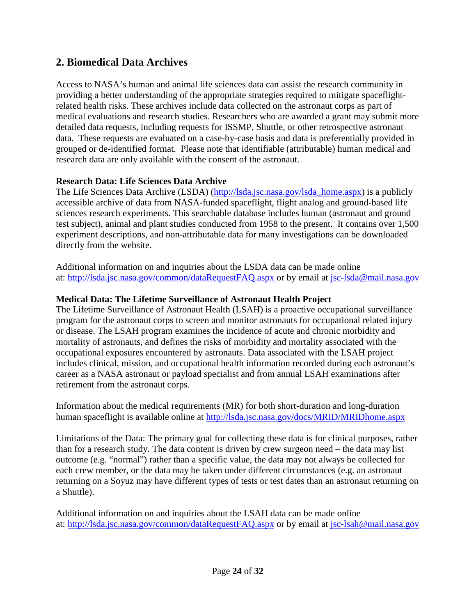#### **2. Biomedical Data Archives**

Access to NASA's human and animal life sciences data can assist the research community in providing a better understanding of the appropriate strategies required to mitigate spaceflightrelated health risks. These archives include data collected on the astronaut corps as part of medical evaluations and research studies. Researchers who are awarded a grant may submit more detailed data requests, including requests for ISSMP, Shuttle, or other retrospective astronaut data. These requests are evaluated on a case-by-case basis and data is preferentially provided in grouped or de-identified format. Please note that identifiable (attributable) human medical and research data are only available with the consent of the astronaut.

#### **Research Data: Life Sciences Data Archive**

The Life Sciences Data Archive (LSDA) [\(http://lsda.jsc.nasa.gov/lsda\\_home.aspx\)](http://lsda.jsc.nasa.gov/lsda_home.aspx) is a publicly accessible archive of data from NASA-funded spaceflight, flight analog and ground-based life sciences research experiments. This searchable database includes human (astronaut and ground test subject), animal and plant studies conducted from 1958 to the present. It contains over 1,500 experiment descriptions, and non-attributable data for many investigations can be downloaded directly from the website.

Additional information on and inquiries about the LSDA data can be made online at:<http://lsda.jsc.nasa.gov/common/dataRequestFAQ.aspx> or by email at [jsc-lsda@mail.nasa.gov](mailto:jsc-lsda@mail.nasa.gov) 

#### **Medical Data: The Lifetime Surveillance of Astronaut Health Project**

The Lifetime Surveillance of Astronaut Health (LSAH) is a proactive occupational surveillance program for the astronaut corps to screen and monitor astronauts for occupational related injury or disease. The LSAH program examines the incidence of acute and chronic morbidity and mortality of astronauts, and defines the risks of morbidity and mortality associated with the occupational exposures encountered by astronauts. Data associated with the LSAH project includes clinical, mission, and occupational health information recorded during each astronaut's career as a NASA astronaut or payload specialist and from annual LSAH examinations after retirement from the astronaut corps.

Information about the medical requirements (MR) for both short-duration and long-duration human spaceflight is available online at<http://lsda.jsc.nasa.gov/docs/MRID/MRIDhome.aspx>

Limitations of the Data: The primary goal for collecting these data is for clinical purposes, rather than for a research study. The data content is driven by crew surgeon need – the data may list outcome (e.g. "normal") rather than a specific value, the data may not always be collected for each crew member, or the data may be taken under different circumstances (e.g. an astronaut returning on a Soyuz may have different types of tests or test dates than an astronaut returning on a Shuttle).

Additional information on and inquiries about the LSAH data can be made online at:<http://lsda.jsc.nasa.gov/common/dataRequestFAQ.aspx> or by email at [jsc-lsah@mail.nasa.gov](mailto:jsc-lsah@mail.nasa.gov)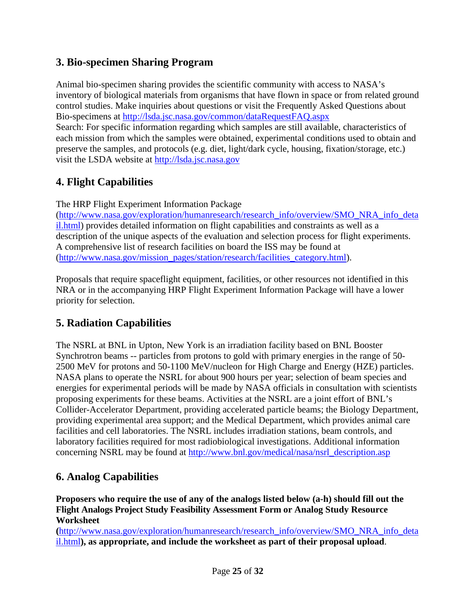### <span id="page-24-0"></span>**3. Bio-specimen Sharing Program**

Animal bio-specimen sharing provides the scientific community with access to NASA's inventory of biological materials from organisms that have flown in space or from related ground control studies. Make inquiries about questions or visit the Frequently Asked Questions about Bio-specimens at<http://lsda.jsc.nasa.gov/common/dataRequestFAQ.aspx>

Search: For specific information regarding which samples are still available, characteristics of each mission from which the samples were obtained, experimental conditions used to obtain and preserve the samples, and protocols (e.g. diet, light/dark cycle, housing, fixation/storage, etc.) visit the LSDA website at [http://lsda.jsc.nasa.gov](http://lsda.jsc.nasa.gov/) 

## <span id="page-24-1"></span>**4. Flight Capabilities**

The HRP Flight Experiment Information Package

[\(http://www.nasa.gov/exploration/humanresearch/research\\_info/overview/SMO\\_NRA\\_info\\_deta](http://www.nasa.gov/exploration/humanresearch/research_info/overview/SMO_NRA_info_detail.html) [il.html\)](http://www.nasa.gov/exploration/humanresearch/research_info/overview/SMO_NRA_info_detail.html) provides detailed information on flight capabilities and constraints as well as a description of the unique aspects of the evaluation and selection process for flight experiments. A comprehensive list of research facilities on board the ISS may be found at [\(http://www.nasa.gov/mission\\_pages/station/research/facilities\\_category.html\)](http://www.nasa.gov/mission_pages/station/research/facilities_category.html).

Proposals that require spaceflight equipment, facilities, or other resources not identified in this NRA or in the accompanying HRP Flight Experiment Information Package will have a lower priority for selection.

### <span id="page-24-2"></span>**5. Radiation Capabilities**

The NSRL at BNL in Upton, New York is an irradiation facility based on BNL Booster Synchrotron beams -- particles from protons to gold with primary energies in the range of 50- 2500 MeV for protons and 50-1100 MeV/nucleon for High Charge and Energy (HZE) particles. NASA plans to operate the NSRL for about 900 hours per year; selection of beam species and energies for experimental periods will be made by NASA officials in consultation with scientists proposing experiments for these beams. Activities at the NSRL are a joint effort of BNL's Collider-Accelerator Department, providing accelerated particle beams; the Biology Department, providing experimental area support; and the Medical Department, which provides animal care facilities and cell laboratories. The NSRL includes irradiation stations, beam controls, and laboratory facilities required for most radiobiological investigations. Additional information concerning NSRL may be found at [http://www.bnl.gov/medical/nasa/nsrl\\_description.asp](http://www.bnl.gov/medical/nasa/nsrl_description.asp)

## <span id="page-24-3"></span>**6. Analog Capabilities**

**Proposers who require the use of any of the analogs listed below (a-h) should fill out the Flight Analogs Project Study Feasibility Assessment Form or Analog Study Resource Worksheet**

**(**[http://www.nasa.gov/exploration/humanresearch/research\\_info/overview/SMO\\_NRA\\_info\\_deta](http://www.nasa.gov/exploration/humanresearch/research_info/overview/SMO_NRA_info_detail.html) [il.html](http://www.nasa.gov/exploration/humanresearch/research_info/overview/SMO_NRA_info_detail.html)**), as appropriate, and include the worksheet as part of their proposal upload**.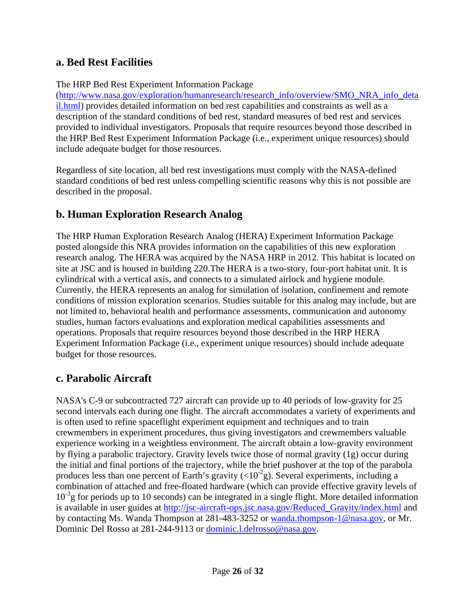#### <span id="page-25-0"></span>**a. Bed Rest Facilities**

#### The HRP Bed Rest Experiment Information Package

[\(http://www.nasa.gov/exploration/humanresearch/research\\_info/overview/SMO\\_NRA\\_info\\_deta](http://www.nasa.gov/exploration/humanresearch/research_info/overview/SMO_NRA_info_detail.html) [il.html\)](http://www.nasa.gov/exploration/humanresearch/research_info/overview/SMO_NRA_info_detail.html) provides detailed information on bed rest capabilities and constraints as well as a description of the standard conditions of bed rest, standard measures of bed rest and services provided to individual investigators. Proposals that require resources beyond those described in the HRP Bed Rest Experiment Information Package (i.e., experiment unique resources) should include adequate budget for those resources.

Regardless of site location, all bed rest investigations must comply with the NASA-defined standard conditions of bed rest unless compelling scientific reasons why this is not possible are described in the proposal.

### <span id="page-25-1"></span>**b. Human Exploration Research Analog**

The HRP Human Exploration Research Analog (HERA) Experiment Information Package posted alongside this NRA provides information on the capabilities of this new exploration research analog. The HERA was acquired by the NASA HRP in 2012. This habitat is located on site at JSC and is housed in building 220.The HERA is a two-story, four-port habitat unit. It is cylindrical with a vertical axis, and connects to a simulated airlock and hygiene module. Currently, the HERA represents an analog for simulation of isolation, confinement and remote conditions of mission exploration scenarios. Studies suitable for this analog may include, but are not limited to, behavioral health and performance assessments, communication and autonomy studies, human factors evaluations and exploration medical capabilities assessments and operations. Proposals that require resources beyond those described in the HRP HERA Experiment Information Package (i.e., experiment unique resources) should include adequate budget for those resources.

#### <span id="page-25-2"></span>**c. Parabolic Aircraft**

NASA's C-9 or subcontracted 727 aircraft can provide up to 40 periods of low-gravity for 25 second intervals each during one flight. The aircraft accommodates a variety of experiments and is often used to refine spaceflight experiment equipment and techniques and to train crewmembers in experiment procedures, thus giving investigators and crewmembers valuable experience working in a weightless environment. The aircraft obtain a low-gravity environment by flying a parabolic trajectory. Gravity levels twice those of normal gravity (1g) occur during the initial and final portions of the trajectory, while the brief pushover at the top of the parabola produces less than one percent of Earth's gravity  $(<10^{-2}$ g). Several experiments, including a combination of attached and free-floated hardware (which can provide effective gravity levels of 10<sup>-3</sup>g for periods up to 10 seconds) can be integrated in a single flight. More detailed information is available in user guides at [http://jsc-aircraft-ops.jsc.nasa.gov/Reduced\\_Gravity/index.html](http://jsc-aircraft-ops.jsc.nasa.gov/Reduced_Gravity/index.html) and by contacting Ms. Wanda Thompson at 281-483-3252 or [wanda.thompson-1@nasa.gov,](mailto:wanda.thompson-1@nasa.gov) or Mr. Dominic Del Rosso at 281-244-9113 or [dominic.l.delrosso@nasa.gov.](mailto:dominic.l.delrosso@nasa.gov)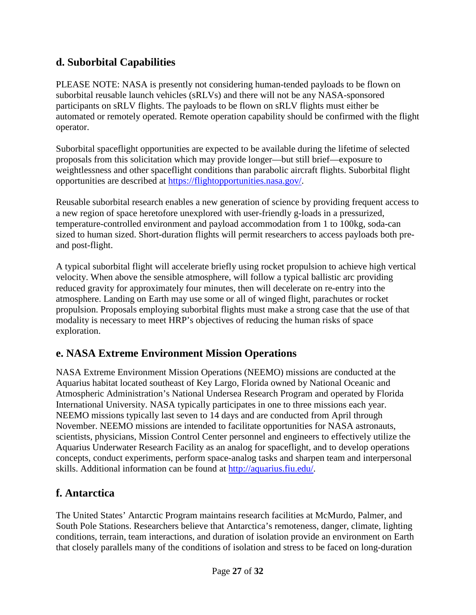## <span id="page-26-0"></span>**d. Suborbital Capabilities**

PLEASE NOTE: NASA is presently not considering human-tended payloads to be flown on suborbital reusable launch vehicles (sRLVs) and there will not be any NASA-sponsored participants on sRLV flights. The payloads to be flown on sRLV flights must either be automated or remotely operated. Remote operation capability should be confirmed with the flight operator.

Suborbital spaceflight opportunities are expected to be available during the lifetime of selected proposals from this solicitation which may provide longer—but still brief—exposure to weightlessness and other spaceflight conditions than parabolic aircraft flights. Suborbital flight opportunities are described at [https://flightopportunities.nasa.gov/.](https://flightopportunities.nasa.gov/)

Reusable suborbital research enables a new generation of science by providing frequent access to a new region of space heretofore unexplored with user-friendly g-loads in a pressurized, temperature-controlled environment and payload accommodation from 1 to 100kg, soda-can sized to human sized. Short-duration flights will permit researchers to access payloads both preand post-flight.

A typical suborbital flight will accelerate briefly using rocket propulsion to achieve high vertical velocity. When above the sensible atmosphere, will follow a typical ballistic arc providing reduced gravity for approximately four minutes, then will decelerate on re-entry into the atmosphere. Landing on Earth may use some or all of winged flight, parachutes or rocket propulsion. Proposals employing suborbital flights must make a strong case that the use of that modality is necessary to meet HRP's objectives of reducing the human risks of space exploration.

## <span id="page-26-1"></span>**e. NASA Extreme Environment Mission Operations**

NASA Extreme Environment Mission Operations (NEEMO) missions are conducted at the Aquarius habitat located southeast of Key Largo, Florida owned by National Oceanic and Atmospheric Administration's National Undersea Research Program and operated by Florida International University. NASA typically participates in one to three missions each year. NEEMO missions typically last seven to 14 days and are conducted from April through November. NEEMO missions are intended to facilitate opportunities for NASA astronauts, scientists, physicians, Mission Control Center personnel and engineers to effectively utilize the Aquarius Underwater Research Facility as an analog for spaceflight, and to develop operations concepts, conduct experiments, perform space-analog tasks and sharpen team and interpersonal skills. Additional information can be found at [http://aquarius.fiu.edu/.](http://aquarius.fiu.edu/)

### <span id="page-26-2"></span>**f. Antarctica**

The United States' Antarctic Program maintains research facilities at McMurdo, Palmer, and South Pole Stations. Researchers believe that Antarctica's remoteness, danger, climate, lighting conditions, terrain, team interactions, and duration of isolation provide an environment on Earth that closely parallels many of the conditions of isolation and stress to be faced on long-duration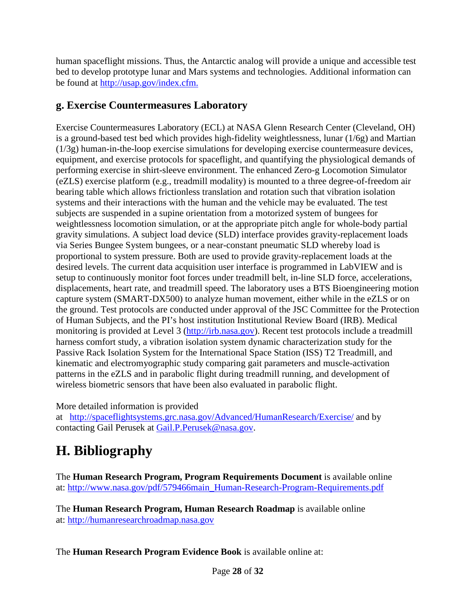human spaceflight missions. Thus, the Antarctic analog will provide a unique and accessible test bed to develop prototype lunar and Mars systems and technologies. Additional information can be found at [http://usap.gov/index.cfm.](http://usap.gov/index.cfm)

## <span id="page-27-0"></span>**g. Exercise Countermeasures Laboratory**

Exercise Countermeasures Laboratory (ECL) at NASA Glenn Research Center (Cleveland, OH) is a ground-based test bed which provides high-fidelity weightlessness, lunar (1/6g) and Martian (1/3g) human-in-the-loop exercise simulations for developing exercise countermeasure devices, equipment, and exercise protocols for spaceflight, and quantifying the physiological demands of performing exercise in shirt-sleeve environment. The enhanced Zero-g Locomotion Simulator (eZLS) exercise platform (e.g., treadmill modality) is mounted to a three degree-of-freedom air bearing table which allows frictionless translation and rotation such that vibration isolation systems and their interactions with the human and the vehicle may be evaluated. The test subjects are suspended in a supine orientation from a motorized system of bungees for weightlessness locomotion simulation, or at the appropriate pitch angle for whole-body partial gravity simulations. A subject load device (SLD) interface provides gravity-replacement loads via Series Bungee System bungees, or a near-constant pneumatic SLD whereby load is proportional to system pressure. Both are used to provide gravity-replacement loads at the desired levels. The current data acquisition user interface is programmed in LabVIEW and is setup to continuously monitor foot forces under treadmill belt, in-line SLD force, accelerations, displacements, heart rate, and treadmill speed. The laboratory uses a BTS Bioengineering motion capture system (SMART-DX500) to analyze human movement, either while in the eZLS or on the ground. Test protocols are conducted under approval of the JSC Committee for the Protection of Human Subjects, and the PI's host institution Institutional Review Board (IRB). Medical monitoring is provided at Level 3 [\(http://irb.nasa.gov\)](http://irb.nasa.gov/). Recent test protocols include a treadmill harness comfort study, a vibration isolation system dynamic characterization study for the Passive Rack Isolation System for the International Space Station (ISS) T2 Treadmill, and kinematic and electromyographic study comparing gait parameters and muscle-activation patterns in the eZLS and in parabolic flight during treadmill running, and development of wireless biometric sensors that have been also evaluated in parabolic flight.

More detailed information is provided

at <http://spaceflightsystems.grc.nasa.gov/Advanced/HumanResearch/Exercise/> and by contacting Gail Perusek at [Gail.P.Perusek@nasa.gov.](mailto:Gail.P.Perusek@nasa.gov)

# <span id="page-27-1"></span>**H. Bibliography**

The **Human Research Program, Program Requirements Document** is available online at: [http://www.nasa.gov/pdf/579466main\\_Human-Research-Program-Requirements.pdf](http://www.nasa.gov/pdf/579466main_Human-Research-Program-Requirements.pdf)

The **Human Research Program, Human Research Roadmap** is available online at: [http://humanresearchroadmap.nasa.gov](http://humanresearchroadmap.nasa.gov/)

The **Human Research Program Evidence Book** is available online at: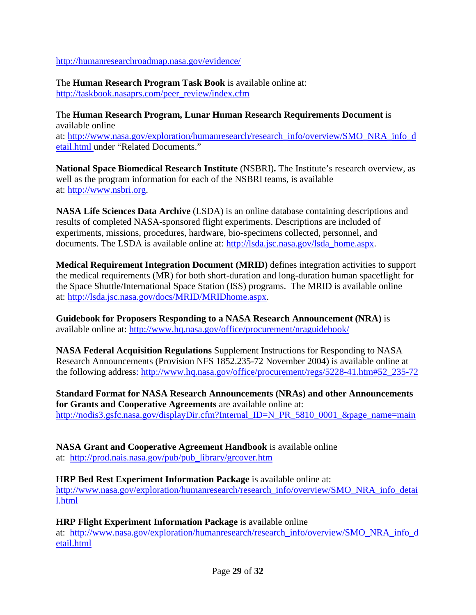<http://humanresearchroadmap.nasa.gov/evidence/>

The **Human Research Program Task Book** is available online at: [http://taskbook.nasaprs.com/peer\\_review/index.cfm](http://taskbook.nasaprs.com/peer_review/index.cfm)

The **Human Research Program, Lunar Human Research Requirements Document** is available online at: [http://www.nasa.gov/exploration/humanresearch/research\\_info/overview/SMO\\_NRA\\_info\\_d](http://www.nasa.gov/exploration/humanresearch/research_info/overview/SMO_NRA_info_detail.html) [etail.html](http://www.nasa.gov/exploration/humanresearch/research_info/overview/SMO_NRA_info_detail.html) under "Related Documents."

**National Space Biomedical Research Institute** (NSBRI)**.** The Institute's research overview, as well as the program information for each of the NSBRI teams, is available at: [http://www.nsbri.org.](http://www.nsbri.org/)

**NASA Life Sciences Data Archive** (LSDA) is an online database containing descriptions and results of completed NASA-sponsored flight experiments. Descriptions are included of experiments, missions, procedures, hardware, bio-specimens collected, personnel, and documents. The LSDA is available online at: [http://lsda.jsc.nasa.gov/lsda\\_home.aspx.](http://lsda.jsc.nasa.gov/lsda_home.aspx)

**Medical Requirement Integration Document (MRID)** defines integration activities to support the medical requirements (MR) for both short-duration and long-duration human spaceflight for the Space Shuttle/International Space Station (ISS) programs. The MRID is available online at: [http://lsda.jsc.nasa.gov/docs/MRID/MRIDhome.aspx.](http://lsda.jsc.nasa.gov/docs/MRID/MRIDhome.aspx)

**Guidebook for Proposers Responding to a NASA Research Announcement (NRA)** is available online at: <http://www.hq.nasa.gov/office/procurement/nraguidebook/>

**NASA Federal Acquisition Regulations** Supplement Instructions for Responding to NASA Research Announcements (Provision NFS 1852.235-72 November 2004) is available online at the following address: [http://www.hq.nasa.gov/office/procurement/regs/5228-41.htm#52\\_235-72](http://www.hq.nasa.gov/office/procurement/regs/5228-41.htm#52_235-72)

**Standard Format for NASA Research Announcements (NRAs) and other Announcements for Grants and Cooperative Agreements** are available online at: [http://nodis3.gsfc.nasa.gov/displayDir.cfm?Internal\\_ID=N\\_PR\\_5810\\_0001\\_&page\\_name=main](http://nodis3.gsfc.nasa.gov/displayDir.cfm?Internal_ID=N_PR_5810_0001_&page_name=main)

**NASA Grant and Cooperative Agreement Handbook** is available online at: [http://prod.nais.nasa.gov/pub/pub\\_library/grcover.htm](http://prod.nais.nasa.gov/pub/pub_library/grcover.htm)

**HRP Bed Rest Experiment Information Package** is available online at: [http://www.nasa.gov/exploration/humanresearch/research\\_info/overview/SMO\\_NRA\\_info\\_detai](http://www.nasa.gov/exploration/humanresearch/research_info/overview/SMO_NRA_info_detail.html) [l.html](http://www.nasa.gov/exploration/humanresearch/research_info/overview/SMO_NRA_info_detail.html)

**HRP Flight Experiment Information Package** is available online

at: [http://www.nasa.gov/exploration/humanresearch/research\\_info/overview/SMO\\_NRA\\_info\\_d](http://www.nasa.gov/exploration/humanresearch/research_info/overview/SMO_NRA_info_detail.html) [etail.html](http://www.nasa.gov/exploration/humanresearch/research_info/overview/SMO_NRA_info_detail.html)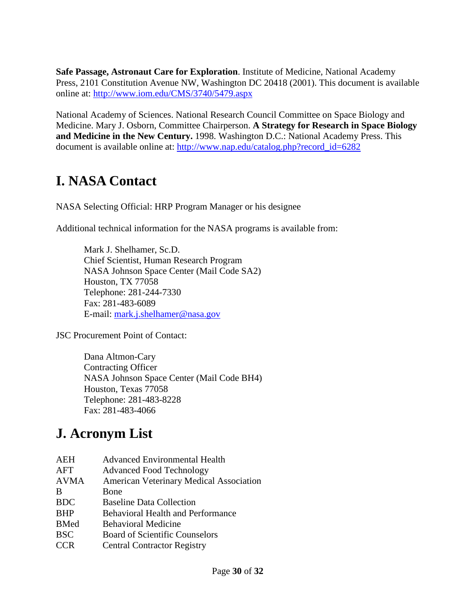**Safe Passage, Astronaut Care for Exploration**. Institute of Medicine, National Academy Press, 2101 Constitution Avenue NW, Washington DC 20418 (2001). This document is available online at:<http://www.iom.edu/CMS/3740/5479.aspx>

National Academy of Sciences. National Research Council Committee on Space Biology and Medicine. Mary J. Osborn, Committee Chairperson. **A Strategy for Research in Space Biology and Medicine in the New Century.** 1998. Washington D.C.: National Academy Press. This document is available online at: [http://www.nap.edu/catalog.php?record\\_id=6282](http://www.nap.edu/catalog.php?record_id=6282)

# <span id="page-29-0"></span>**I. NASA Contact**

NASA Selecting Official: HRP Program Manager or his designee

Additional technical information for the NASA programs is available from:

Mark J. Shelhamer, Sc.D. Chief Scientist, Human Research Program NASA Johnson Space Center (Mail Code SA2) Houston, TX 77058 Telephone: 281-244-7330 Fax: 281-483-6089 E-mail: [mark.j.shelhamer@nasa.gov](mailto:mark.j.shelhamer@nasa.gov)

JSC Procurement Point of Contact:

Dana Altmon-Cary Contracting Officer NASA Johnson Space Center (Mail Code BH4) Houston, Texas 77058 Telephone: 281-483-8228 Fax: 281-483-4066

# <span id="page-29-1"></span>**J. Acronym List**

| AEH         | <b>Advanced Environmental Health</b>           |
|-------------|------------------------------------------------|
| AFT         | <b>Advanced Food Technology</b>                |
| <b>AVMA</b> | <b>American Veterinary Medical Association</b> |
| B           | Bone                                           |
| <b>BDC</b>  | <b>Baseline Data Collection</b>                |
| <b>BHP</b>  | <b>Behavioral Health and Performance</b>       |
| <b>BMed</b> | <b>Behavioral Medicine</b>                     |
| <b>BSC</b>  | <b>Board of Scientific Counselors</b>          |
| <b>CCR</b>  | <b>Central Contractor Registry</b>             |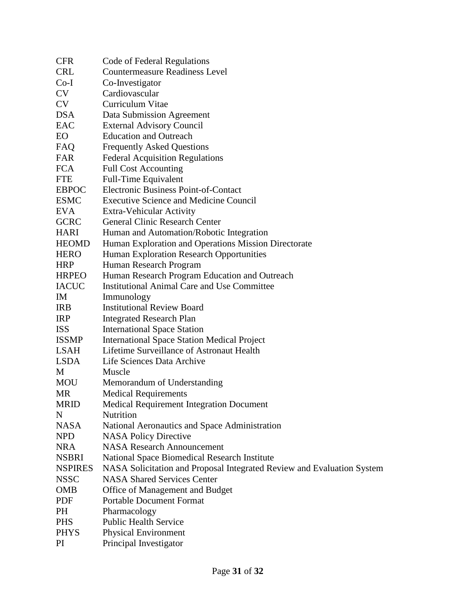| <b>CFR</b>     | Code of Federal Regulations                                            |
|----------------|------------------------------------------------------------------------|
| <b>CRL</b>     | <b>Countermeasure Readiness Level</b>                                  |
| $Co-I$         | Co-Investigator                                                        |
| CV             | Cardiovascular                                                         |
| <b>CV</b>      | Curriculum Vitae                                                       |
| <b>DSA</b>     | Data Submission Agreement                                              |
| EAC            | <b>External Advisory Council</b>                                       |
| EO             | <b>Education and Outreach</b>                                          |
| FAQ            | <b>Frequently Asked Questions</b>                                      |
| <b>FAR</b>     | <b>Federal Acquisition Regulations</b>                                 |
| <b>FCA</b>     | <b>Full Cost Accounting</b>                                            |
| <b>FTE</b>     | Full-Time Equivalent                                                   |
| <b>EBPOC</b>   | <b>Electronic Business Point-of-Contact</b>                            |
| <b>ESMC</b>    | <b>Executive Science and Medicine Council</b>                          |
| <b>EVA</b>     | Extra-Vehicular Activity                                               |
| <b>GCRC</b>    | <b>General Clinic Research Center</b>                                  |
| <b>HARI</b>    | Human and Automation/Robotic Integration                               |
| <b>HEOMD</b>   | Human Exploration and Operations Mission Directorate                   |
| <b>HERO</b>    | Human Exploration Research Opportunities                               |
| <b>HRP</b>     | Human Research Program                                                 |
| <b>HRPEO</b>   | Human Research Program Education and Outreach                          |
| <b>IACUC</b>   | <b>Institutional Animal Care and Use Committee</b>                     |
| IM             | Immunology                                                             |
| <b>IRB</b>     | <b>Institutional Review Board</b>                                      |
| <b>IRP</b>     | <b>Integrated Research Plan</b>                                        |
| <b>ISS</b>     | <b>International Space Station</b>                                     |
| <b>ISSMP</b>   | <b>International Space Station Medical Project</b>                     |
| LSAH           | Lifetime Surveillance of Astronaut Health                              |
| <b>LSDA</b>    | Life Sciences Data Archive                                             |
| M              | Muscle                                                                 |
| <b>MOU</b>     | Memorandum of Understanding                                            |
| <b>MR</b>      | <b>Medical Requirements</b>                                            |
| <b>MRID</b>    | <b>Medical Requirement Integration Document</b>                        |
| N              | Nutrition                                                              |
| <b>NASA</b>    | National Aeronautics and Space Administration                          |
| <b>NPD</b>     | <b>NASA Policy Directive</b>                                           |
| <b>NRA</b>     | <b>NASA Research Announcement</b>                                      |
| <b>NSBRI</b>   | National Space Biomedical Research Institute                           |
| <b>NSPIRES</b> | NASA Solicitation and Proposal Integrated Review and Evaluation System |
| <b>NSSC</b>    | <b>NASA Shared Services Center</b>                                     |
| <b>OMB</b>     | Office of Management and Budget                                        |
| PDF            | <b>Portable Document Format</b>                                        |
| PH             | Pharmacology                                                           |
| <b>PHS</b>     | <b>Public Health Service</b>                                           |
| <b>PHYS</b>    | <b>Physical Environment</b>                                            |
| PI             | Principal Investigator                                                 |